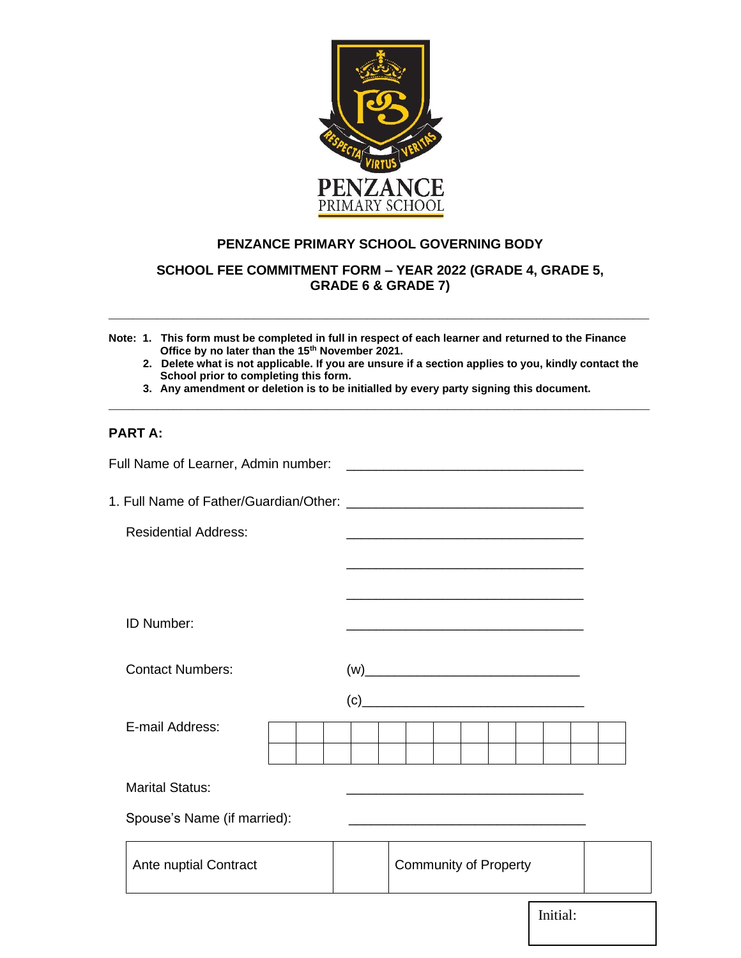

# **PENZANCE PRIMARY SCHOOL GOVERNING BODY**

**SCHOOL FEE COMMITMENT FORM – YEAR 2022 (GRADE 4, GRADE 5, GRADE 6 & GRADE 7)** 

**\_\_\_\_\_\_\_\_\_\_\_\_\_\_\_\_\_\_\_\_\_\_\_\_\_\_\_\_\_\_\_\_\_\_\_\_\_\_\_\_\_\_\_\_\_\_\_\_\_\_\_\_\_\_\_\_\_\_\_\_\_\_\_\_\_\_\_**

- **Note: 1. This form must be completed in full in respect of each learner and returned to the Finance Office by no later than the 15th November 2021.**
	- **2. Delete what is not applicable. If you are unsure if a section applies to you, kindly contact the School prior to completing this form.**
	- **3. Any amendment or deletion is to be initialled by every party signing this document.**

**\_\_\_\_\_\_\_\_\_\_\_\_\_\_\_\_\_\_\_\_\_\_\_\_\_\_\_\_\_\_\_\_\_\_\_\_\_\_\_\_\_\_\_\_\_\_\_\_\_\_\_\_\_\_\_\_\_\_\_\_\_\_\_\_\_\_\_**

# **PART A:**

| <b>Residential Address:</b>                                                                                                                                                                                                                           |  |  |  |  | <u> 2000 - Jan James James Jan James James James James James James James James James James James James James Jam</u> |  |  |          |  |  |
|-------------------------------------------------------------------------------------------------------------------------------------------------------------------------------------------------------------------------------------------------------|--|--|--|--|----------------------------------------------------------------------------------------------------------------------|--|--|----------|--|--|
|                                                                                                                                                                                                                                                       |  |  |  |  |                                                                                                                      |  |  |          |  |  |
|                                                                                                                                                                                                                                                       |  |  |  |  |                                                                                                                      |  |  |          |  |  |
| ID Number:                                                                                                                                                                                                                                            |  |  |  |  |                                                                                                                      |  |  |          |  |  |
| <b>Contact Numbers:</b>                                                                                                                                                                                                                               |  |  |  |  |                                                                                                                      |  |  |          |  |  |
| $(c)$ and $(c)$ and $(c)$ and $(c)$ and $(c)$ and $(c)$ and $(c)$ and $(c)$ and $(c)$ and $(c)$ and $(c)$ and $(c)$ and $(c)$ and $(c)$ and $(c)$ and $(c)$ and $(c)$ and $(c)$ and $(c)$ and $(c)$ and $(c)$ and $(c)$ and $(c)$ and $(c)$ and $(c)$ |  |  |  |  |                                                                                                                      |  |  |          |  |  |
| E-mail Address:                                                                                                                                                                                                                                       |  |  |  |  |                                                                                                                      |  |  |          |  |  |
| <b>Marital Status:</b>                                                                                                                                                                                                                                |  |  |  |  |                                                                                                                      |  |  |          |  |  |
| Spouse's Name (if married):                                                                                                                                                                                                                           |  |  |  |  | <u> 1989 - Johann John Stone, mars eta biztanleria (h. 1989).</u>                                                    |  |  |          |  |  |
| Ante nuptial Contract                                                                                                                                                                                                                                 |  |  |  |  | <b>Community of Property</b>                                                                                         |  |  |          |  |  |
|                                                                                                                                                                                                                                                       |  |  |  |  |                                                                                                                      |  |  | Initial: |  |  |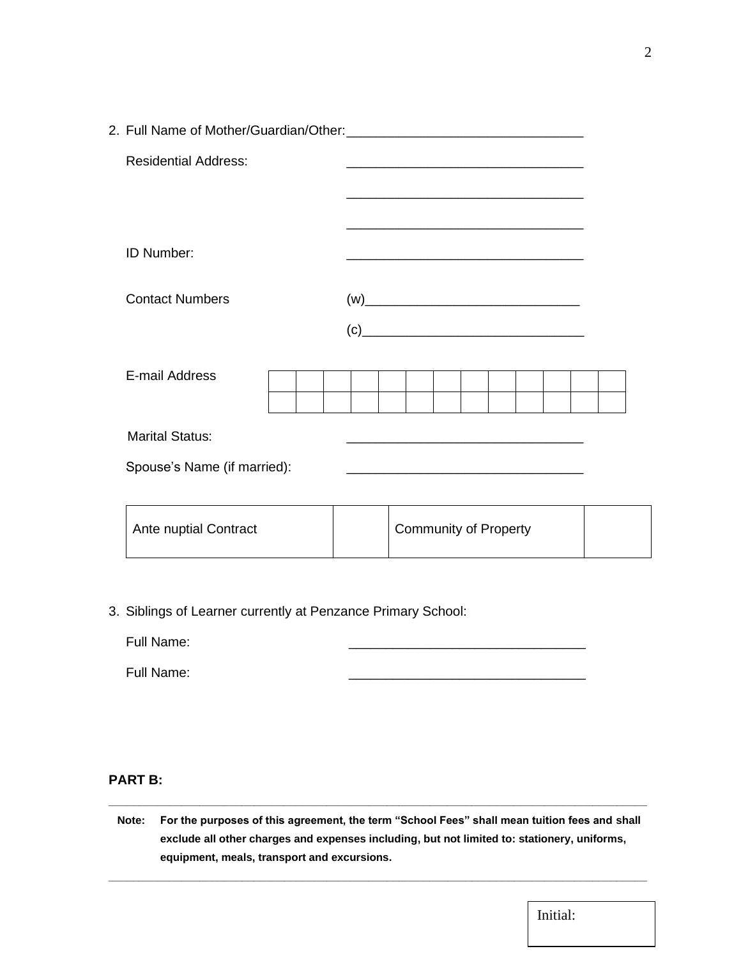| <b>Residential Address:</b> |                                                                                                                        |
|-----------------------------|------------------------------------------------------------------------------------------------------------------------|
|                             | <u> 1980 - Johann Barbara, margaret eta idazlea (h. 1980).</u>                                                         |
| <b>ID Number:</b>           |                                                                                                                        |
| <b>Contact Numbers</b>      |                                                                                                                        |
|                             | $\left( \text{c}\right)$                                                                                               |
| E-mail Address              |                                                                                                                        |
| <b>Marital Status:</b>      | <u> 1980 - Johann John Stone, mars eta bat eta bat erroman erroman erroman erroman erroman erroman erroman erroman</u> |
| Spouse's Name (if married): |                                                                                                                        |
|                             | <u> 1989 - Jan Stein Barnett, fransk kongresu i skotske po</u>                                                         |

| Ante nuptial Contract | <b>Community of Property</b> |  |
|-----------------------|------------------------------|--|
|-----------------------|------------------------------|--|

3. Siblings of Learner currently at Penzance Primary School:

Full Name:

Full Name:

#### **PART B:**

**Note: For the purposes of this agreement, the term "School Fees" shall mean tuition fees and shall exclude all other charges and expenses including, but not limited to: stationery, uniforms, equipment, meals, transport and excursions.**

**\_\_\_\_\_\_\_\_\_\_\_\_\_\_\_\_\_\_\_\_\_\_\_\_\_\_\_\_\_\_\_\_\_\_\_\_\_\_\_\_\_\_\_\_\_\_\_\_\_\_\_\_\_\_\_\_\_\_\_\_\_\_\_\_\_\_\_\_\_\_\_\_\_\_\_\_\_\_\_\_\_\_\_\_\_\_\_\_\_**

**\_\_\_\_\_\_\_\_\_\_\_\_\_\_\_\_\_\_\_\_\_\_\_\_\_\_\_\_\_\_\_\_\_\_\_\_\_\_\_\_\_\_\_\_\_\_\_\_\_\_\_\_\_\_\_\_\_\_\_\_\_\_\_\_\_\_\_\_\_\_\_\_\_\_\_\_\_\_\_\_\_\_\_\_\_\_\_\_\_**

Initial: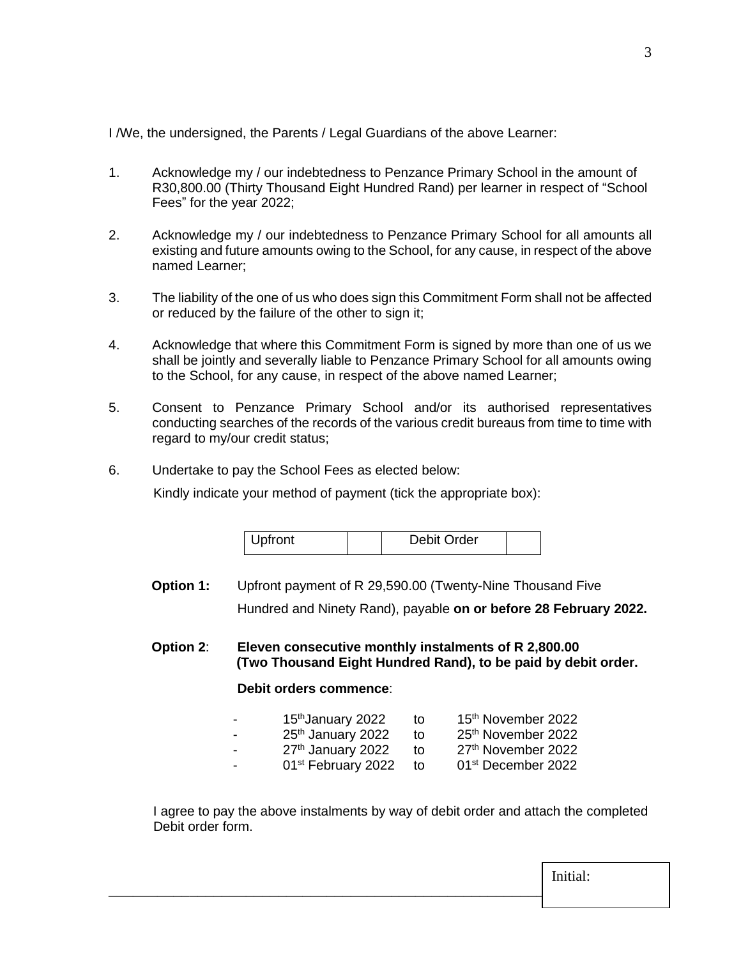I /We, the undersigned, the Parents / Legal Guardians of the above Learner:

- 1. Acknowledge my / our indebtedness to Penzance Primary School in the amount of R30,800.00 (Thirty Thousand Eight Hundred Rand) per learner in respect of "School Fees" for the year 2022;
- 2. Acknowledge my / our indebtedness to Penzance Primary School for all amounts all existing and future amounts owing to the School, for any cause, in respect of the above named Learner;
- 3. The liability of the one of us who does sign this Commitment Form shall not be affected or reduced by the failure of the other to sign it;
- 4. Acknowledge that where this Commitment Form is signed by more than one of us we shall be jointly and severally liable to Penzance Primary School for all amounts owing to the School, for any cause, in respect of the above named Learner;
- 5. Consent to Penzance Primary School and/or its authorised representatives conducting searches of the records of the various credit bureaus from time to time with regard to my/our credit status;
- 6. Undertake to pay the School Fees as elected below:

Kindly indicate your method of payment (tick the appropriate box):

| Upfront | Debit Order |  |
|---------|-------------|--|
|---------|-------------|--|

- **Option 1:** Upfront payment of R 29,590.00 (Twenty-Nine Thousand Five Hundred and Ninety Rand), payable **on or before 28 February 2022.**
- **Option 2**: **Eleven consecutive monthly instalments of R 2,800.00 (Two Thousand Eight Hundred Rand), to be paid by debit order.**

## **Debit orders commence**:

| $\overline{\phantom{0}}$ | 15 <sup>th</sup> January 2022  | to | 15 <sup>th</sup> November 2022 |
|--------------------------|--------------------------------|----|--------------------------------|
| $\blacksquare$           | 25 <sup>th</sup> January 2022  | tο | 25 <sup>th</sup> November 2022 |
| $\sim$                   | 27 <sup>th</sup> January 2022  | to | 27th November 2022             |
| $\sim$                   | 01 <sup>st</sup> February 2022 | to | 01 <sup>st</sup> December 2022 |
|                          |                                |    |                                |

 I agree to pay the above instalments by way of debit order and attach the completed Debit order form.

**\_\_\_\_\_\_\_\_\_\_\_\_\_\_\_\_\_\_\_\_\_\_\_\_\_\_\_\_\_\_\_\_\_\_\_\_\_\_\_\_\_\_\_\_\_\_\_\_\_\_\_\_\_\_\_\_\_\_\_\_\_\_\_\_\_** Initial: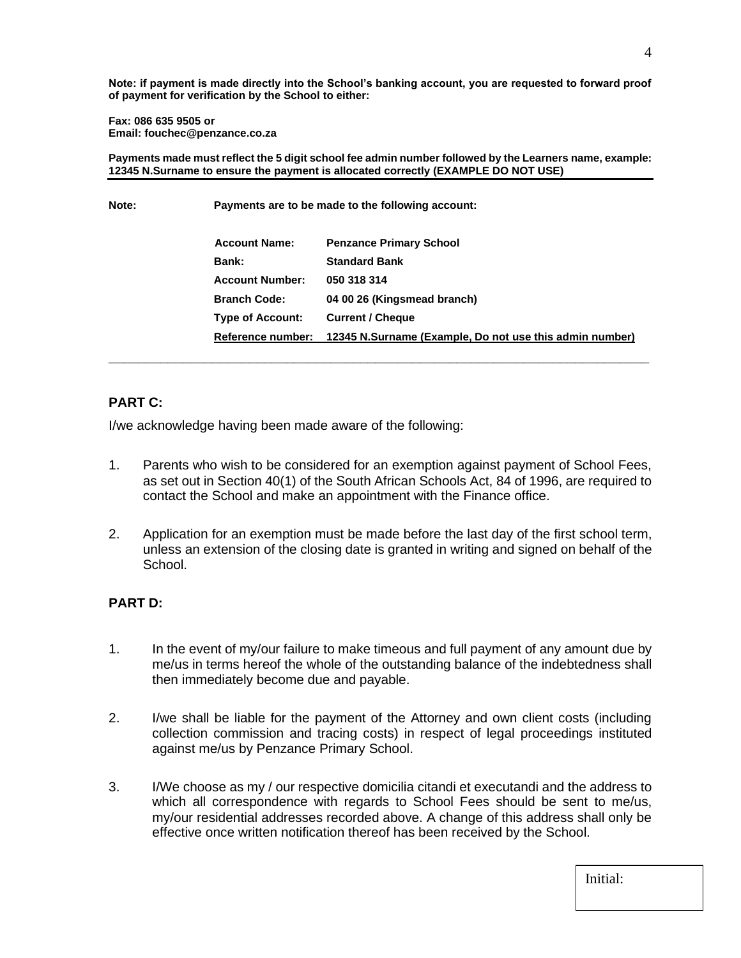**Note: if payment is made directly into the School's banking account, you are requested to forward proof of payment for verification by the School to either:**

#### **Fax: 086 635 9505 or Email: fouchec@penzance.co.za**

**Payments made must reflect the 5 digit school fee admin number followed by the Learners name, example: 12345 N.Surname to ensure the payment is allocated correctly (EXAMPLE DO NOT USE)**

**Note: Payments are to be made to the following account:**

| <b>Account Name:</b>    | <b>Penzance Primary School</b>                                            |
|-------------------------|---------------------------------------------------------------------------|
| <b>Bank:</b>            | <b>Standard Bank</b>                                                      |
| <b>Account Number:</b>  | 050 318 314                                                               |
| <b>Branch Code:</b>     | 04 00 26 (Kingsmead branch)                                               |
| <b>Type of Account:</b> | <b>Current / Cheque</b>                                                   |
|                         | Reference number: 12345 N.Surname (Example, Do not use this admin number) |
|                         |                                                                           |

### **PART C:**

I/we acknowledge having been made aware of the following:

- 1. Parents who wish to be considered for an exemption against payment of School Fees, as set out in Section 40(1) of the South African Schools Act, 84 of 1996, are required to contact the School and make an appointment with the Finance office.
- 2. Application for an exemption must be made before the last day of the first school term, unless an extension of the closing date is granted in writing and signed on behalf of the School.

### **PART D:**

- 1. In the event of my/our failure to make timeous and full payment of any amount due by me/us in terms hereof the whole of the outstanding balance of the indebtedness shall then immediately become due and payable.
- 2. I/we shall be liable for the payment of the Attorney and own client costs (including collection commission and tracing costs) in respect of legal proceedings instituted against me/us by Penzance Primary School.
- 3. I/We choose as my / our respective domicilia citandi et executandi and the address to which all correspondence with regards to School Fees should be sent to me/us, my/our residential addresses recorded above. A change of this address shall only be effective once written notification thereof has been received by the School.

| Initial: |  |  |
|----------|--|--|
|          |  |  |